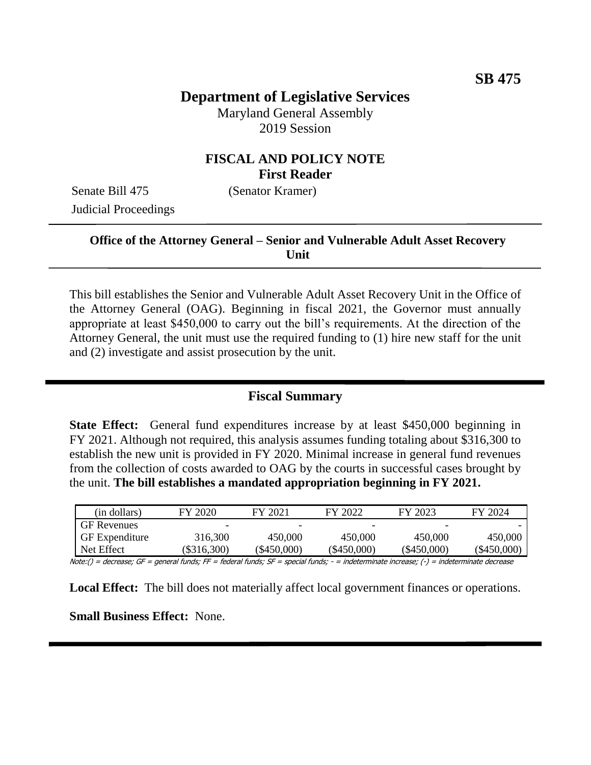# **Department of Legislative Services**

Maryland General Assembly 2019 Session

### **FISCAL AND POLICY NOTE First Reader**

Senate Bill 475 (Senator Kramer) Judicial Proceedings

### **Office of the Attorney General – Senior and Vulnerable Adult Asset Recovery Unit**

This bill establishes the Senior and Vulnerable Adult Asset Recovery Unit in the Office of the Attorney General (OAG). Beginning in fiscal 2021, the Governor must annually appropriate at least \$450,000 to carry out the bill's requirements. At the direction of the Attorney General, the unit must use the required funding to (1) hire new staff for the unit and (2) investigate and assist prosecution by the unit.

### **Fiscal Summary**

**State Effect:** General fund expenditures increase by at least \$450,000 beginning in FY 2021. Although not required, this analysis assumes funding totaling about \$316,300 to establish the new unit is provided in FY 2020. Minimal increase in general fund revenues from the collection of costs awarded to OAG by the courts in successful cases brought by the unit. **The bill establishes a mandated appropriation beginning in FY 2021.**

| (in dollars)          | FY 2020       | FY 2021     | FY 2022     | FY 2023     | FY 2024       |
|-----------------------|---------------|-------------|-------------|-------------|---------------|
| <b>GF</b> Revenues    | -             | -           | -           | ٠           |               |
| <b>GF</b> Expenditure | 316,300       | 450,000     | 450,000     | 450,000     | 450,000       |
| Net Effect            | $(\$316,300)$ | (\$450,000) | (\$450,000) | (\$450.000) | $(\$450,000)$ |

Note:() = decrease; GF = general funds; FF = federal funds; SF = special funds; - = indeterminate increase; (-) = indeterminate decrease

**Local Effect:** The bill does not materially affect local government finances or operations.

**Small Business Effect:** None.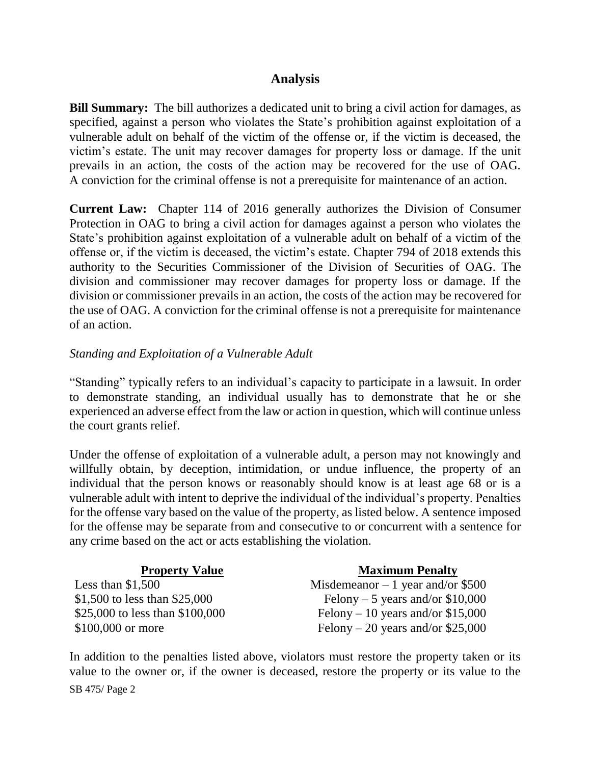### **Analysis**

**Bill Summary:** The bill authorizes a dedicated unit to bring a civil action for damages, as specified, against a person who violates the State's prohibition against exploitation of a vulnerable adult on behalf of the victim of the offense or, if the victim is deceased, the victim's estate. The unit may recover damages for property loss or damage. If the unit prevails in an action, the costs of the action may be recovered for the use of OAG. A conviction for the criminal offense is not a prerequisite for maintenance of an action.

**Current Law:** Chapter 114 of 2016 generally authorizes the Division of Consumer Protection in OAG to bring a civil action for damages against a person who violates the State's prohibition against exploitation of a vulnerable adult on behalf of a victim of the offense or, if the victim is deceased, the victim's estate. Chapter 794 of 2018 extends this authority to the Securities Commissioner of the Division of Securities of OAG. The division and commissioner may recover damages for property loss or damage. If the division or commissioner prevails in an action, the costs of the action may be recovered for the use of OAG. A conviction for the criminal offense is not a prerequisite for maintenance of an action.

#### *Standing and Exploitation of a Vulnerable Adult*

"Standing" typically refers to an individual's capacity to participate in a lawsuit. In order to demonstrate standing, an individual usually has to demonstrate that he or she experienced an adverse effect from the law or action in question, which will continue unless the court grants relief.

Under the offense of exploitation of a vulnerable adult, a person may not knowingly and willfully obtain, by deception, intimidation, or undue influence, the property of an individual that the person knows or reasonably should know is at least age 68 or is a vulnerable adult with intent to deprive the individual of the individual's property. Penalties for the offense vary based on the value of the property, as listed below. A sentence imposed for the offense may be separate from and consecutive to or concurrent with a sentence for any crime based on the act or acts establishing the violation.

| <b>Property Value</b>           | <b>Maximum Penalty</b>             |
|---------------------------------|------------------------------------|
| Less than $$1,500$              | Misdemeanor $-1$ year and/or \$500 |
| \$1,500 to less than \$25,000   | Felony – 5 years and/or $$10,000$  |
| \$25,000 to less than \$100,000 | Felony – 10 years and/or $$15,000$ |
| \$100,000 or more               | Felony – 20 years and/or \$25,000  |

SB 475/ Page 2 In addition to the penalties listed above, violators must restore the property taken or its value to the owner or, if the owner is deceased, restore the property or its value to the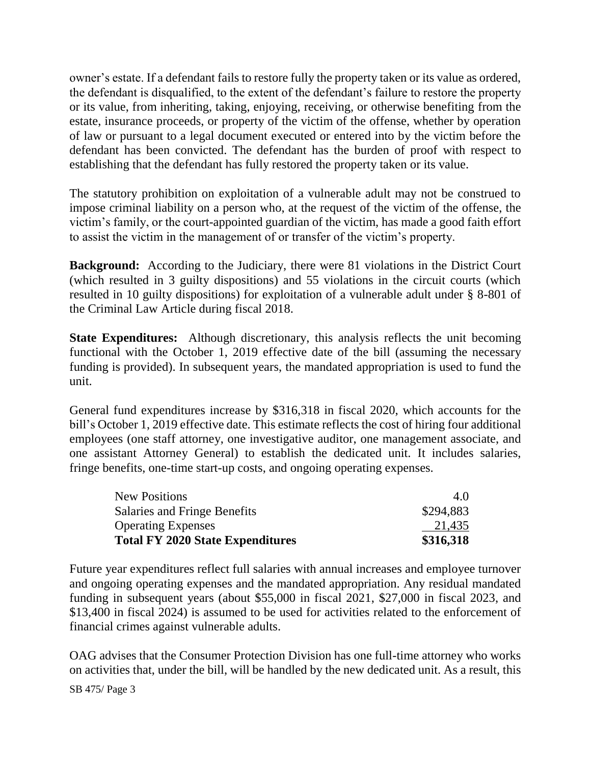owner's estate. If a defendant fails to restore fully the property taken or its value as ordered, the defendant is disqualified, to the extent of the defendant's failure to restore the property or its value, from inheriting, taking, enjoying, receiving, or otherwise benefiting from the estate, insurance proceeds, or property of the victim of the offense, whether by operation of law or pursuant to a legal document executed or entered into by the victim before the defendant has been convicted. The defendant has the burden of proof with respect to establishing that the defendant has fully restored the property taken or its value.

The statutory prohibition on exploitation of a vulnerable adult may not be construed to impose criminal liability on a person who, at the request of the victim of the offense, the victim's family, or the court-appointed guardian of the victim, has made a good faith effort to assist the victim in the management of or transfer of the victim's property.

**Background:** According to the Judiciary, there were 81 violations in the District Court (which resulted in 3 guilty dispositions) and 55 violations in the circuit courts (which resulted in 10 guilty dispositions) for exploitation of a vulnerable adult under § 8-801 of the Criminal Law Article during fiscal 2018.

**State Expenditures:** Although discretionary, this analysis reflects the unit becoming functional with the October 1, 2019 effective date of the bill (assuming the necessary funding is provided). In subsequent years, the mandated appropriation is used to fund the unit.

General fund expenditures increase by \$316,318 in fiscal 2020, which accounts for the bill's October 1, 2019 effective date. This estimate reflects the cost of hiring four additional employees (one staff attorney, one investigative auditor, one management associate, and one assistant Attorney General) to establish the dedicated unit. It includes salaries, fringe benefits, one-time start-up costs, and ongoing operating expenses.

| <b>New Positions</b>                    | 4.0       |
|-----------------------------------------|-----------|
| Salaries and Fringe Benefits            | \$294,883 |
| <b>Operating Expenses</b>               | 21,435    |
| <b>Total FY 2020 State Expenditures</b> | \$316,318 |

Future year expenditures reflect full salaries with annual increases and employee turnover and ongoing operating expenses and the mandated appropriation. Any residual mandated funding in subsequent years (about \$55,000 in fiscal 2021, \$27,000 in fiscal 2023, and \$13,400 in fiscal 2024) is assumed to be used for activities related to the enforcement of financial crimes against vulnerable adults.

OAG advises that the Consumer Protection Division has one full-time attorney who works on activities that, under the bill, will be handled by the new dedicated unit. As a result, this